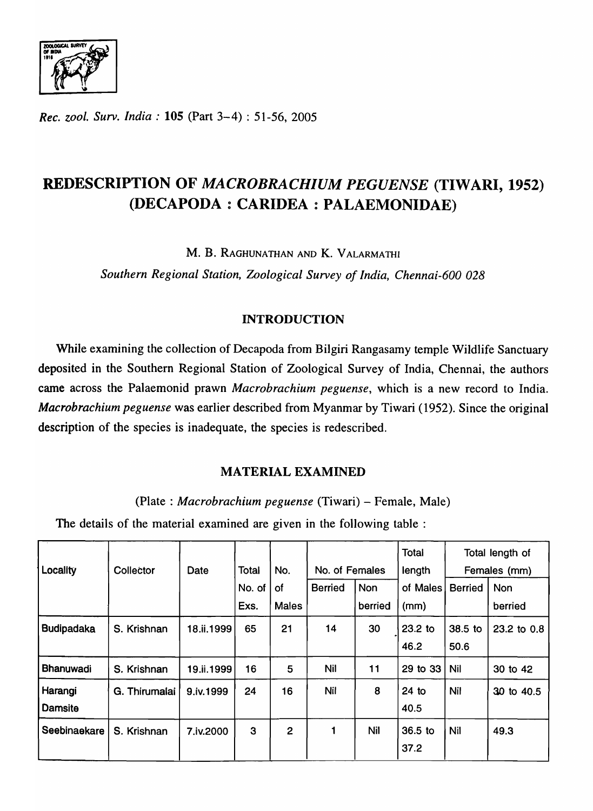

*Rec. zool. Surv. India:* 105 (Part 3-4) : 51-56, 2005

# REDESCRIPTION OF *MACROBRACHIUM PEGUENSE* (TIWARI, 1952) (DECAPODA: CARIDEA: PALAEMONIDAE)

M. B. RAGHUNATHAN AND K. VALARMATHI

*Southern Regional Station, Zoological Survey of India, Chennai-600 028* 

## INTRODUCTION

While examining the collection of Decapoda from Bilgiri Rangasamy temple Wildlife Sanctuary deposited in the Southern Regional Station of Zoological Survey of India, Chennai, the authors came across the Palaemonid prawn *Macrobrachium peguense,* which is a new record to India. *Macrobrachium peguense* was earlier described from Myanmar by Tiwari (1952). Since the original description of the species is inadequate, the species is redescribed.

## MATERIAL EXAMINED

(Plate : *Macrobrachium peguense* (Tiwari) - Female, Male)

The details of the material examined are given in the following table :

|                   |               |            |        |                |                |            | <b>Total</b> |                | Total length of |
|-------------------|---------------|------------|--------|----------------|----------------|------------|--------------|----------------|-----------------|
| Locality          | Collector     | Date       | Total  | No.            | No. of Females |            | length       | Females (mm)   |                 |
|                   |               |            | No. of | of             | <b>Berried</b> | <b>Non</b> | of Males     | <b>Berried</b> | <b>Non</b>      |
|                   |               |            | Exs.   | <b>Males</b>   |                | berried    | (mm)         |                | berried         |
| <b>Budipadaka</b> | S. Krishnan   | 18.ii.1999 | 65     | 21             | 14             | 30         | $23.2$ to    | 38.5 to        | 23.2 to 0.8     |
|                   |               |            |        |                |                |            | 46.2         | 50.6           |                 |
| Bhanuwadi         | S. Krishnan   | 19.ii.1999 | 16     | 5              | <b>Nil</b>     | 11         | 29 to 33     | Nil            | 30 to 42        |
| Harangi           | G. Thirumalai | 9.iv.1999  | 24     | 16             | Nil            | 8          | $24$ to      | Nil            | 30 to 40.5      |
| <b>Damsite</b>    |               |            |        |                |                |            | 40.5         |                |                 |
| Seebinaekare      | S. Krishnan   | 7.iv.2000  | 3      | $\overline{2}$ | 1              | Nil        | 36.5 to      | Nil            | 49.3            |
|                   |               |            |        |                |                |            | 37.2         |                |                 |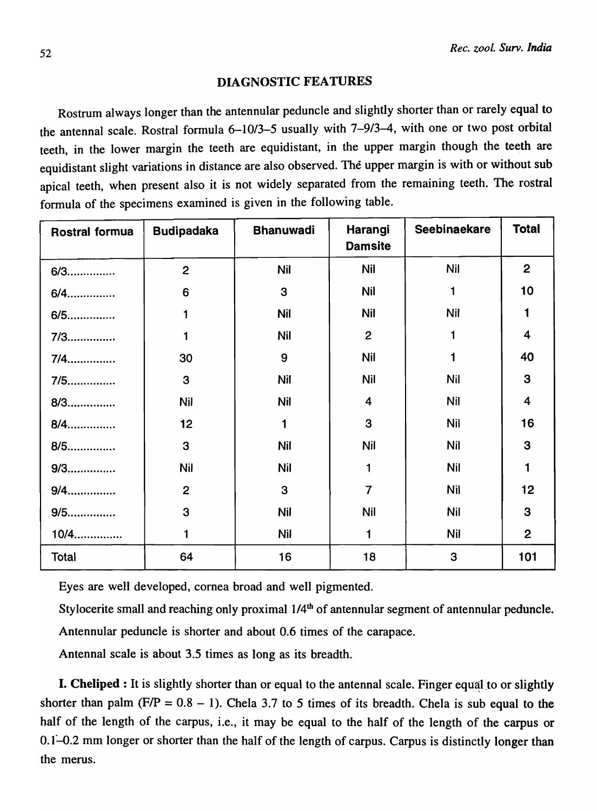### DIAGNOSTIC FEATURES

Rostrum always longer than the antennular peduncle and slightly shorter than or rarely equal to the antennal scale. Rostral formula 6-10/3-5 usually with 7-9/3-4, with one or two post orbital teeth, in the lower margin the teeth are equidistant, in the upper margin though the teeth are equidistant slight variations in distance are also observed. The upper margin is with or without sub apical teeth, when present also it is not widely separated from the remaining teeth. The rostral formula of the specimens examined is given in the following table.

| Rostral formua | <b>Budipadaka</b> | <b>Bhanuwadi</b> | Harangi<br><b>Damsite</b> | <b>Seebinaekare</b> | <b>Total</b>            |
|----------------|-------------------|------------------|---------------------------|---------------------|-------------------------|
| $6/3$          | $\overline{2}$    | <b>Nil</b>       | <b>Nil</b>                | <b>Nil</b>          | $\overline{2}$          |
| $6/4$          | 6                 | 3                | <b>Nil</b>                | $\mathbf 1$         | 10                      |
| $6/5$          | 1                 | <b>Nil</b>       | <b>Nil</b>                | <b>Nil</b>          | 1                       |
| 7/3            | 1                 | <b>Nil</b>       | $\overline{2}$            | 1                   | $\overline{\mathbf{4}}$ |
| $7/4$          | 30                | 9                | <b>Nil</b>                | $\mathbf{1}$        | 40                      |
| $7/5$          | 3                 | <b>Nil</b>       | <b>Nil</b>                | <b>Nil</b>          | 3                       |
| 8/3            | <b>Nil</b>        | <b>Nil</b>       | $\overline{\mathbf{4}}$   | <b>Nil</b>          | $\overline{\mathbf{4}}$ |
| 8/4            | 12                | 1                | 3                         | <b>Nil</b>          | 16                      |
| 8/5            | 3                 | <b>Nil</b>       | Nil                       | <b>Nil</b>          | 3                       |
| $9/3$          | <b>Nil</b>        | <b>Nil</b>       | 1                         | <b>Nil</b>          | $\blacksquare$          |
| $9/4$          | $\overline{2}$    | 3                | $\overline{7}$            | <b>Nil</b>          | 12                      |
| $9/5$          | 3                 | <b>Nil</b>       | <b>Nil</b>                | <b>Nil</b>          | 3                       |
| 10/4           | 1                 | <b>Nil</b>       | $\blacksquare$            | <b>Nil</b>          | $\overline{2}$          |
| <b>Total</b>   | 64                | 16               | 18                        | 3                   | 101                     |

Eyes are well developed, cornea broad and well pigmented.

Stylocerite small and reaching only proximal  $1/4<sup>th</sup>$  of antennular segment of antennular peduncle.

Antennular peduncle is shorter and about 0.6 times of the carapace.

Antennal scale is about 3.5 times as long as its breadth.

**I. Cheliped:** It is slightly shorter than or equal to the antennal scale. Finger equal to or slightly shorter than palm (F/P =  $0.8 - 1$ ). Chela 3.7 to 5 times of its breadth. Chela is sub equal to the half of the length of the carpus, i.e., it may be equal to the half of the length of the carpus or 0.1-0.2 mm longer or shorter than the half of the length of carpus. Carpus is distinctly longer than the merus.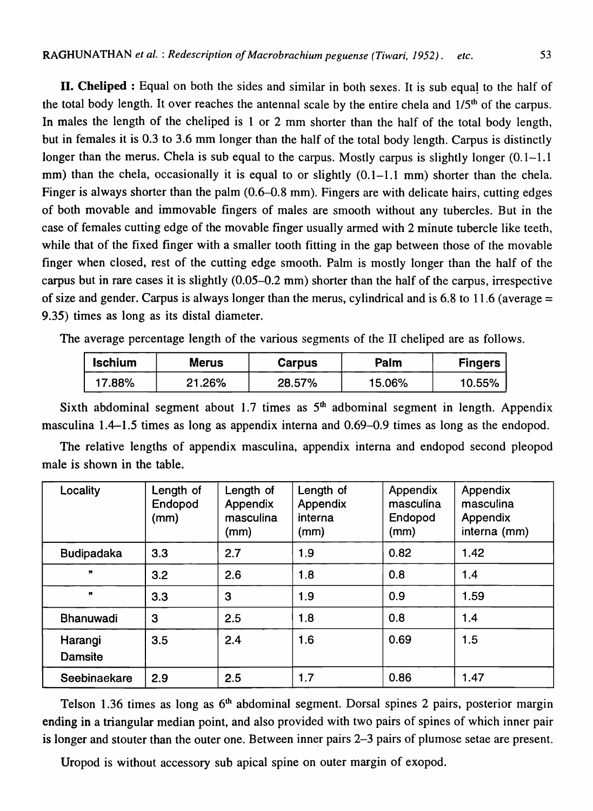**II. Cheliped**: Equal on both the sides and similar in both sexes. It is sub equal to the half of the total body length. It over reaches the antennal scale by the entire chela and 1/5th of the carpus. In males the length of the cheliped is 1 or 2 mm shorter than the half of the total body length, but in females it is 0.3 to 3.6 mm longer than the half of the total body length. Carpus is distinctly longer than the merus. Chela is sub equal to the carpus. Mostly carpus is slightly longer (0.1-1.1) mm) than the chela, occasionally it is equal to or slightly (0.1–1.1 mm) shorter than the chela. Finger is always shorter than the palm (0.6–0.8 mm). Fingers are with delicate hairs, cutting edges of both movable and immovable fingers of males are smooth without any tubercles. But in the case of females cutting edge of the movable finger usually armed with 2 minute tubercle like teeth, while that of the fixed finger with a smaller tooth fitting in the gap between those of the movable finger when closed, rest of the cutting edge smooth. Palm is mostly longer than the half of the carpus but in rare cases it is slightly (0.05-0.2 mm) shorter than the half of the carpus, irrespective of size and gender. Carpus is always longer than the merus, cylindrical and is 6.8 to 11.6 (average  $=$ 9.35) times as long as its distal diameter.

The average percentage length of the various segments of the II cheliped are as follows.

| <b>Ischium</b> | <b>Merus</b> | <b>Carpus</b> | Palm   | Fingers   |
|----------------|--------------|---------------|--------|-----------|
| $'7.88\%$      | 21.26%       | 28.57%        | 15.06% | $10.55\%$ |

Sixth abdominal segment about 1.7 times as  $5<sup>th</sup>$  adbominal segment in length. Appendix masculina 1.4-1.5 times as long as appendix interna and 0.69-0.9 times as long as the endopod.

The relative lengths of appendix masculina, appendix interna and endopod second pleopod male is shown in the table.

| Locality                  | Length of<br>Endopod<br>(mm) | Length of<br>Appendix<br>masculina<br>(mm) | Length of<br>Appendix<br>interna<br>(mm) | Appendix<br>masculina<br>Endopod<br>(mm) | Appendix<br>masculina<br>Appendix<br>interna (mm) |
|---------------------------|------------------------------|--------------------------------------------|------------------------------------------|------------------------------------------|---------------------------------------------------|
| <b>Budipadaka</b>         | 3.3                          | 2.7                                        | 1.9                                      | 0.82                                     | 1.42                                              |
| $\mathbf{H}$              | 3.2                          | 2.6                                        | 1.8                                      | 0.8                                      | 1.4                                               |
| $\mathbf{H}$              | 3.3                          | 3                                          | 1.9                                      | 0.9                                      | 1.59                                              |
| Bhanuwadi                 | 3                            | 2.5                                        | 1.8                                      | 0.8                                      | 1.4                                               |
| Harangi<br><b>Damsite</b> | 3.5                          | 2.4                                        | 1.6                                      | 0.69                                     | 1.5                                               |
| Seebinaekare              | 2.9                          | 2.5                                        | 1.7                                      | 0.86                                     | 1.47                                              |

Telson 1.36 times as long as  $6<sup>th</sup>$  abdominal segment. Dorsal spines 2 pairs, posterior margin ending in a triangular median point, and also provided with two pairs of spines of which inner pair is longer and stouter than the outer one. Between inner pairs 2-3 pairs of plumose setae are present.

Uropod is without accessory sub apical spine on outer margin of exopod.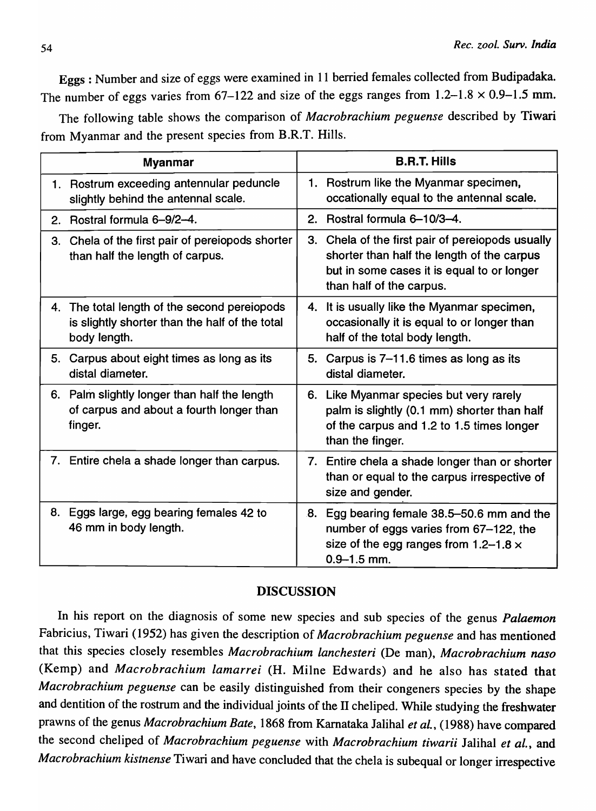Eggs: Number and size of eggs were examined in 11 berried females collected from Budipadaka. The number of eggs varies from  $67-122$  and size of the eggs ranges from  $1.2-1.8 \times 0.9-1.5$  mm.

The following table shows the comparison of *Macrobrachium peguense* described by Tiwari from Myanmar and the present species from B.R.T. Hills.

|                                       | <b>Myanmar</b>                                                                                 | <b>B.R.T. Hills</b>                                                                                                                                                      |
|---------------------------------------|------------------------------------------------------------------------------------------------|--------------------------------------------------------------------------------------------------------------------------------------------------------------------------|
|                                       | 1. Rostrum exceeding antennular peduncle<br>slightly behind the antennal scale.                | 1. Rostrum like the Myanmar specimen,<br>occationally equal to the antennal scale.                                                                                       |
| Rostral formula 6-9/2-4.<br>2.        |                                                                                                | 2. Rostral formula 6-10/3-4.                                                                                                                                             |
| 3.<br>than half the length of carpus. | Chela of the first pair of pereiopods shorter                                                  | 3. Chela of the first pair of pereiopods usually<br>shorter than half the length of the carpus<br>but in some cases it is equal to or longer<br>than half of the carpus. |
| body length.                          | 4. The total length of the second pereiopods<br>is slightly shorter than the half of the total | 4. It is usually like the Myanmar specimen,<br>occasionally it is equal to or longer than<br>half of the total body length.                                              |
| distal diameter.                      | 5. Carpus about eight times as long as its                                                     | 5. Carpus is 7-11.6 times as long as its<br>distal diameter.                                                                                                             |
| finger.                               | 6. Palm slightly longer than half the length<br>of carpus and about a fourth longer than       | 6. Like Myanmar species but very rarely<br>palm is slightly (0.1 mm) shorter than half<br>of the carpus and 1.2 to 1.5 times longer<br>than the finger.                  |
|                                       | 7. Entire chela a shade longer than carpus.                                                    | 7. Entire chela a shade longer than or shorter<br>than or equal to the carpus irrespective of<br>size and gender.                                                        |
| 46 mm in body length.                 | 8. Eggs large, egg bearing females 42 to                                                       | 8. Egg bearing female 38.5-50.6 mm and the<br>number of eggs varies from 67-122, the<br>size of the egg ranges from $1.2-1.8 \times$<br>$0.9 - 1.5$ mm.                  |

## DISCUSSION

In his report on the diagnosis of some new species and sub species of the genus *PaLaemon*  Fabricius, Tiwari (1952) has given the description of *Macrobrachium peguense* and has mentioned that this species closely resembles *Macrobrachium Lanchesteri* (De man), *Macrobrachium naso*  (Kemp) and *Macrobrachium Lamarrei* (H. Milne Edwards) and he also has stated that *Macrobrachium peguense* can be easily distinguished from their congeners species by the shape and dentition of the rostrum and the individual joints of the II cheliped. While studying the freshwater prawns of the genus *Macrobrachium Bate,* 1868 from Karnataka Jalihal *et al.,* (1988) have compared the second cheliped of *Macrobrachium peguense* with *Macrobrachium tiwarii* Jalihal et al., and *Macrobrachium kistnense* Tiwari and have concluded that the chela is subequal or longer irrespective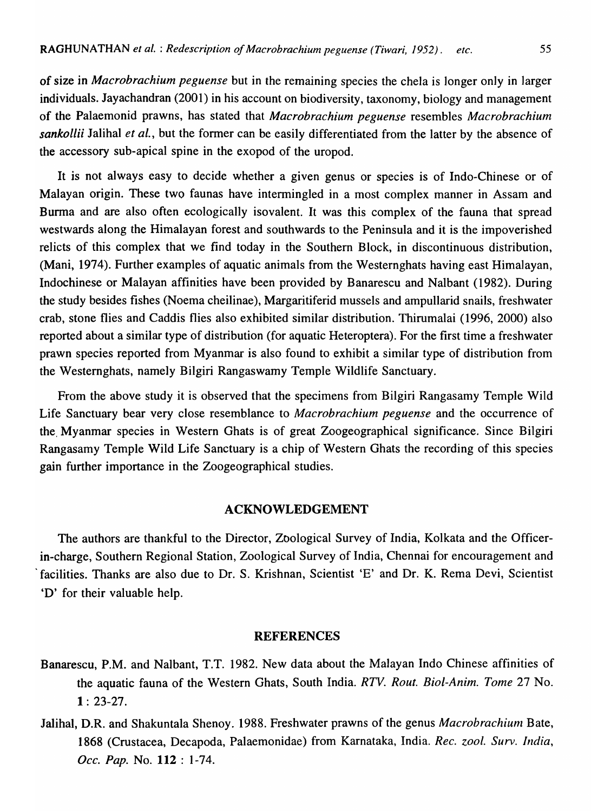of size in *Macrobrachium peguense* but in the remaining species the chela is longer only in larger individuals. Jayachandran (2001) in his account on biodiversity, taxonomy, biology and management of the Palaemonid prawns, has stated that *Macrobrachium peguense* resembles *Macrobrachium sankollii* Jalihal *et aI.,* but the former can be easily differentiated from the latter by the absence of the accessory sub-apical spine in the exopod of the uropod.

It is not always easy to decide whether a given genus or species is of Indo-Chinese or of Malayan origin. These two faunas have intermingled in a most complex manner in Assam and Burma and are also often ecologically isovalent. It was this complex of the fauna that spread westwards along the Himalayan forest and southwards to the Peninsula and it is the impoverished relicts of this complex that we find today in the Southern Block, in discontinuous distribution, (Mani, 1974). Further examples of aquatic animals from the Westernghats having east Himalayan, Indochinese or Malayan affinities have been provided by Banarescu and Nalbant (1982). During the study besides fishes (Noema cheilinae), Margaritiferid mussels and ampullarid snails, freshwater crab, stone flies and Caddis flies also exhibited similar distribution. Thirumalai (1996, 2000) also reported about a similar type of distribution (for aquatic Heteroptera). For the first time a freshwater prawn species reported from Myanmar is also found to exhibit a similar type of distribution from the Westernghats, namely Bilgiri Rangaswamy Temple Wildlife Sanctuary.

From the above study it is observed that the specimens from Bilgiri Rangasamy Temple Wild Life Sanctuary bear very close resemblance to *Macrobrachium peguense* and the occurrence of the, Myanmar species in Western Ghats is of great Zoogeographical significance. Since Bilgiri Rangasamy Temple Wild Life Sanctuary is a chip of Western Ghats the recording of this species gain further importance in the Zoogeographical studies.

#### ACKNOWLEDGEMENT

The authors are thankful to the Director, Zoological Survey of India, Kolkata and the Officerin-charge, Southern Regional Station, Zoological Survey of India, Chennai for encouragement and 'facilities. Thanks are also due to Dr. S. Krishnan, Scientist 'E' and Dr. K. Rema Devi, Scientist 'D' for their valuable help.

#### REFERENCES

- Banarescu, P.M. and Nalbant, T.T. 1982. New data about the Malayan Indo Chinese affinities of the aquatic fauna of the Western Ghats, South India. *RTV. Rout. Biol-Anim. Tome* 27 No.  $1: 23-27.$
- Jalihal, D.R. and Shakuntala Shenoy. 1988. Freshwater prawns of the genus Macrobrachium Bate, 1868 (Crustacea, Decapoda, Palaemonidae) from Karnataka, India. *Rec. zool. Surv. India*, *Dcc. Pap.* No. 112 : 1-74.